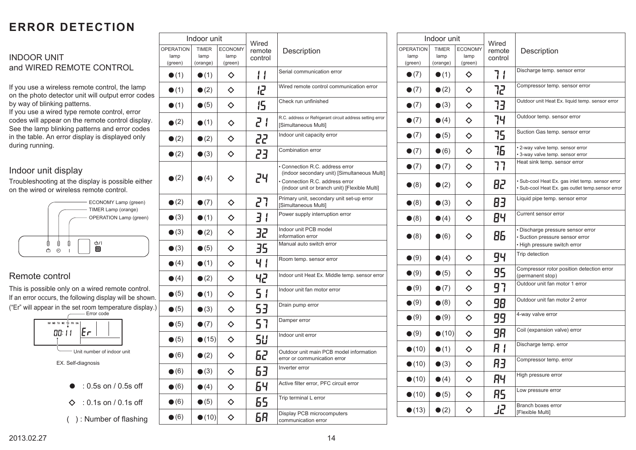# **ERROR DETECTION**

## **INDOOR UNIT** and WIRED REMOTE CONTROL

If you use a wireless remote control, the lamp on the photo detector unit will output error codes by way of blinking patterns.

If you use a wired type remote control, error codes will appear on the remote control display. See the lamp blinking patterns and error codes in the table. An error display is displayed only during running.

## Indoor unit display

. on the wired or wireless remote control. Troubleshooting at the display is possible either



# Remote control

This is possible only on a wired remote control. If an error occurs, the following display will be shown. ("Er" will appear in the set room temperature display.)



EX. Self-diagnosis

 $\bullet$  : 0.5s on / 0.5s off

 $\diamond$  : 0.1s on / 0.1s off

( ) : Number of flashing

| Indoor unit                         |                                  |                                   | Wired             |                                                                                                                                                                     |
|-------------------------------------|----------------------------------|-----------------------------------|-------------------|---------------------------------------------------------------------------------------------------------------------------------------------------------------------|
| <b>OPERATION</b><br>lamp<br>(green) | <b>TIMER</b><br>lamp<br>(orange) | <b>ECONOMY</b><br>lamp<br>(green) | remote<br>control | Description                                                                                                                                                         |
| $\bullet$ (1)                       | $\bullet$ (1)                    | ♦                                 |                   | Serial communication error                                                                                                                                          |
| $\bullet$ (1)                       | $\bullet$ (2)                    | ♦                                 | <b>S</b>          | Wired remote control communication error                                                                                                                            |
| $\bullet$ (1)                       | $\bullet$ (5)                    | ♦                                 | 15                | Check run unfinished                                                                                                                                                |
| $\bullet$ (2)                       | $\bullet$ (1)                    | ♦                                 | 51                | R.C. address or Refrigerant circuit address setting error<br>[Simultaneous Multi]                                                                                   |
| $\bullet$ (2)                       | $\bullet$ (2)                    | $\Diamond$                        | 22                | Indoor unit capacity error                                                                                                                                          |
| $\bullet$ (2)                       | $\bullet$ (3)                    | ♦                                 | 23                | <b>Combination error</b>                                                                                                                                            |
| $\bullet$ (2)                       | $\bullet$ (4)                    | ♦                                 | 24                | · Connection R.C. address error<br>(indoor secondary unit) [Simultaneous Multi]<br>· Connection R.C. address error<br>(indoor unit or branch unit) [Flexible Multi] |
| $\bullet$ (2)                       | $\bullet$ (7)                    | ♦                                 | 27                | Primary unit, secondary unit set-up error<br>[Simultaneous Multi]                                                                                                   |
| $\bullet$ (3)                       | $\bullet$ (1)                    | ♦                                 | 31                | Power supply interruption error                                                                                                                                     |
| $\bullet$ (3)                       | $\bullet$ (2)                    | $\Diamond$                        | 32                | Indoor unit PCB model<br>information error                                                                                                                          |
| $\bullet$ (3)                       | $\bullet$ (5)                    | $\Diamond$                        | 35                | Manual auto switch error                                                                                                                                            |
| $\bullet$ (4)                       | $\bullet$ (1)                    | $\Diamond$                        | 41                | Room temp. sensor error                                                                                                                                             |
| $\bullet$ (4)                       | $\bullet$ (2)                    | ♦                                 | 42                | Indoor unit Heat Ex. Middle temp. sensor error                                                                                                                      |
| $\bullet$ (5)                       | $\bullet$ (1)                    | ♦                                 | 51                | Indoor unit fan motor error                                                                                                                                         |
| $\bullet$ (5)                       | $\bullet$ (3)                    | ♦                                 | 53                | Drain pump error                                                                                                                                                    |
| $\bullet$ (5)                       | $\bullet$ (7)                    | ♦                                 | 57                | Damper error                                                                                                                                                        |
| $\bullet$ (5)                       | $\bullet$ (15)                   | ♦                                 | 58                | Indoor unit error                                                                                                                                                   |
| $\bullet$ (6)                       | $\bullet$ (2)                    | ♦                                 | 62                | Outdoor unit main PCB model information<br>error or communication error                                                                                             |
| $\bullet$ (6)                       | $\bullet$ (3)                    | ♦                                 | 63                | Inverter error                                                                                                                                                      |
| $\bullet$ (6)                       | $\bullet$ (4)                    | $\Diamond$                        | 64                | Active filter error, PFC circuit error                                                                                                                              |
| $\bullet$ (6)                       | $\bullet$ (5)                    | ♦                                 | 65                | Trip terminal L error                                                                                                                                               |
| $\bullet$ (6)                       | $\bullet$ (10)                   | ♦                                 | 68                | Display PCB microcomputers<br>communication error                                                                                                                   |

| Indoor unit                         |                                  |                                   | Wired             |                                                                                                      |
|-------------------------------------|----------------------------------|-----------------------------------|-------------------|------------------------------------------------------------------------------------------------------|
| <b>OPERATION</b><br>lamp<br>(green) | <b>TIMER</b><br>lamp<br>(orange) | <b>ECONOMY</b><br>lamp<br>(green) | remote<br>control | Description                                                                                          |
| $\bullet$ (7)                       | $\bullet$ (1)                    | ♦                                 | 71                | Discharge temp. sensor error                                                                         |
| $\bullet$ (7)                       | $\bullet$ (2)                    | ♦                                 | 72                | Compressor temp. sensor error                                                                        |
| $\bullet$ (7)                       | $\bullet$ (3)                    | ♦                                 | 73                | Outdoor unit Heat Ex. liquid temp. sensor error                                                      |
| $\bullet$ (7)                       | $\bullet$ (4)                    | ♦                                 | 74                | Outdoor temp. sensor error                                                                           |
| $\bullet$ (7)                       | $\bullet$ (5)                    | $\Diamond$                        | 75                | Suction Gas temp. sensor error                                                                       |
| $\bullet$ (7)                       | $\bullet$ (6)                    | $\Diamond$                        | 76                | • 2-way valve temp. sensor error<br>• 3-way valve temp. sensor error                                 |
| $\bullet$ (7)                       | $\bullet$ (7)                    | $\Diamond$                        | 77                | Heat sink temp. sensor error                                                                         |
| $\bullet$ (8)                       | $\bullet$ (2)                    | ◇                                 | 82                | · Sub-cool Heat Ex. gas inlet temp. sensor error<br>· Sub-cool Heat Ex. gas outlet temp.sensor error |
| $\bullet$ (8)                       | $\bullet$ (3)                    | ♦                                 | 83                | Liquid pipe temp. sensor error                                                                       |
| $\bullet$ (8)                       | $\bullet$ (4)                    | ♦                                 | 84                | Current sensor error                                                                                 |
| $\bullet$ (8)                       | $\bullet$ (6)                    | ♦                                 | 86                | · Discharge pressure sensor error<br>· Suction pressure sensor error<br>• High pressure switch error |
| $\bullet$ (9)                       | $\bullet$ (4)                    | ♦                                 | 94                | Trip detection                                                                                       |
| $\bullet$ (9)                       | $\bullet$ (5)                    | $\Diamond$                        | 95                | Compressor rotor position detection error<br>(permanent stop)                                        |
| $\bullet$ (9)                       | $\bullet$ (7)                    | ♦                                 | 97                | Outdoor unit fan motor 1 error                                                                       |
| $\bullet$ (9)                       | $\bullet$ (8)                    | ♦                                 | 98                | Outdoor unit fan motor 2 error                                                                       |
| $\bullet$ (9)                       | $\bullet$ (9)                    | $\Diamond$                        | 99                | 4-way valve error                                                                                    |
| $\bullet(9)$                        | $\bullet$ (10)                   | ♦                                 | 98                | Coil (expansion valve) error                                                                         |
| $\bullet$ (10)                      | $\bullet$ (1)                    | ♦                                 | R I               | Discharge temp. error                                                                                |
| $\bullet$ (10)                      | $\bullet$ (3)                    | ♦                                 | RЗ                | Compressor temp. error                                                                               |
| $\bullet$ (10)                      | $\bullet$ (4)                    | ♦                                 | RЧ                | High pressure error                                                                                  |
| $\bullet$ (10)                      | $\bullet$ (5)                    | ♦                                 | RS                | Low pressure error                                                                                   |
| $\bullet$ (13)                      | $\bullet$ (2)                    | ♦                                 | J2                | Branch boxes error<br>[Flexible Multi]                                                               |